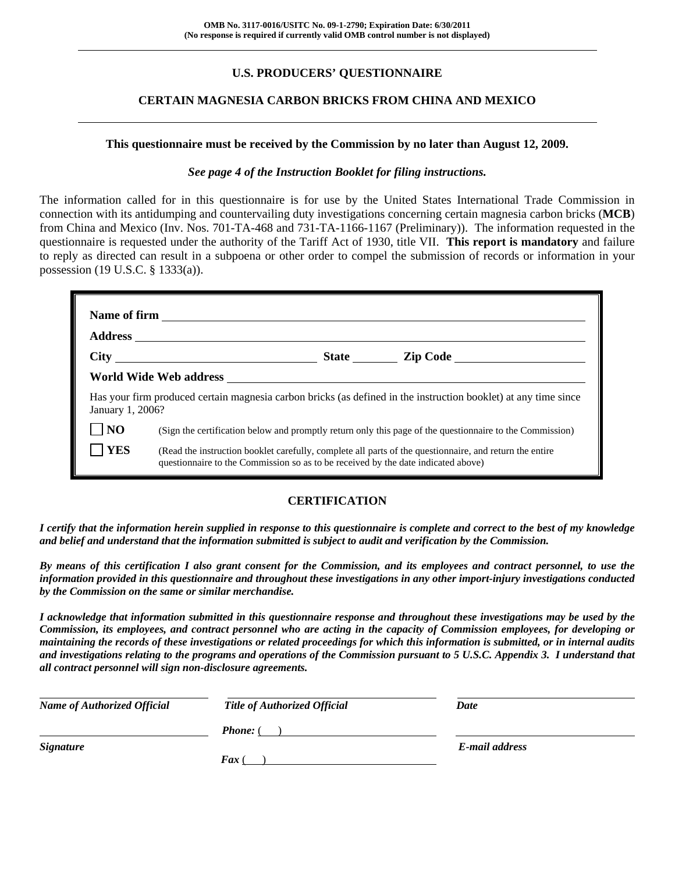# **U.S. PRODUCERS' QUESTIONNAIRE**

## **CERTAIN MAGNESIA CARBON BRICKS FROM CHINA AND MEXICO**

#### **This questionnaire must be received by the Commission by no later than August 12, 2009.**

#### *See page 4 of the Instruction Booklet for filing instructions.*

The information called for in this questionnaire is for use by the United States International Trade Commission in connection with its antidumping and countervailing duty investigations concerning certain magnesia carbon bricks (**MCB**) from China and Mexico (Inv. Nos. 701-TA-468 and 731-TA-1166-1167 (Preliminary)). The information requested in the questionnaire is requested under the authority of the Tariff Act of 1930, title VII. **This report is mandatory** and failure to reply as directed can result in a subpoena or other order to compel the submission of records or information in your possession (19 U.S.C. § 1333(a)).

|                  |  |                                                                                                                                                                                                                                                                                                          | State <u>Cip</u> Code Contract Cip Code                                                                         |  |  |  |
|------------------|--|----------------------------------------------------------------------------------------------------------------------------------------------------------------------------------------------------------------------------------------------------------------------------------------------------------|-----------------------------------------------------------------------------------------------------------------|--|--|--|
|                  |  |                                                                                                                                                                                                                                                                                                          |                                                                                                                 |  |  |  |
| January 1, 2006? |  |                                                                                                                                                                                                                                                                                                          | Has your firm produced certain magnesia carbon bricks (as defined in the instruction booklet) at any time since |  |  |  |
| NO               |  |                                                                                                                                                                                                                                                                                                          |                                                                                                                 |  |  |  |
| <b>YES</b>       |  | (Sign the certification below and promptly return only this page of the questionnaire to the Commission)<br>(Read the instruction booklet carefully, complete all parts of the questionnaire, and return the entire<br>questionnaire to the Commission so as to be received by the date indicated above) |                                                                                                                 |  |  |  |

# **CERTIFICATION**

*I certify that the information herein supplied in response to this questionnaire is complete and correct to the best of my knowledge and belief and understand that the information submitted is subject to audit and verification by the Commission.* 

*By means of this certification I also grant consent for the Commission, and its employees and contract personnel, to use the information provided in this questionnaire and throughout these investigations in any other import-injury investigations conducted by the Commission on the same or similar merchandise.* 

*I acknowledge that information submitted in this questionnaire response and throughout these investigations may be used by the Commission, its employees, and contract personnel who are acting in the capacity of Commission employees, for developing or maintaining the records of these investigations or related proceedings for which this information is submitted, or in internal audits and investigations relating to the programs and operations of the Commission pursuant to 5 U.S.C. Appendix 3. I understand that all contract personnel will sign non-disclosure agreements.* 

| <b>Name of Authorized Official</b> | <b>Title of Authorized Official</b> | Date           |
|------------------------------------|-------------------------------------|----------------|
|                                    | <b>Phone:</b> (                     |                |
| <i>Signature</i>                   |                                     | E-mail address |
|                                    | Fax                                 |                |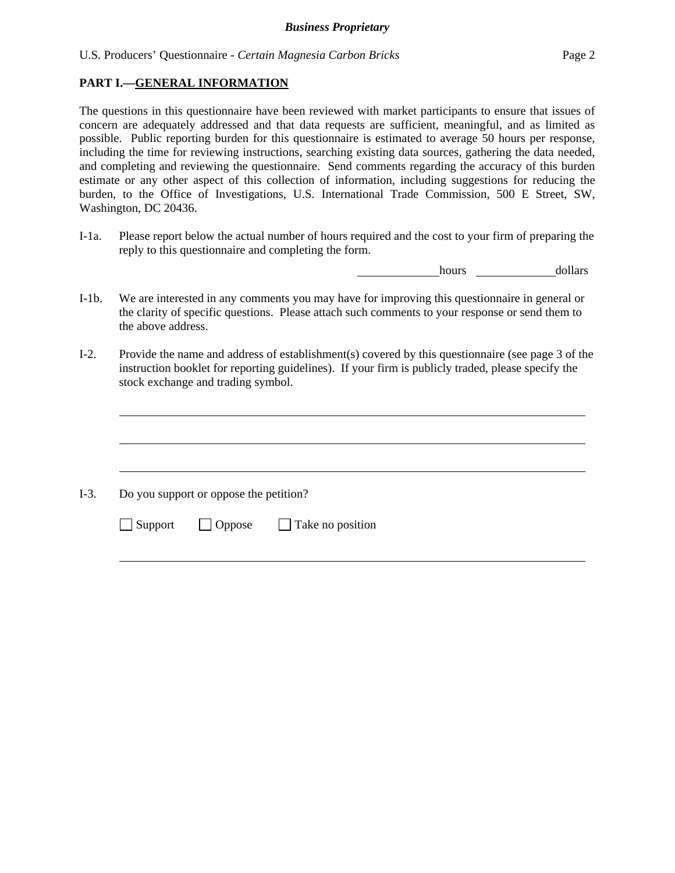## **PART I.—GENERAL INFORMATION**

 $\overline{a}$ 

 $\overline{a}$ 

l

The questions in this questionnaire have been reviewed with market participants to ensure that issues of concern are adequately addressed and that data requests are sufficient, meaningful, and as limited as possible. Public reporting burden for this questionnaire is estimated to average 50 hours per response, including the time for reviewing instructions, searching existing data sources, gathering the data needed, and completing and reviewing the questionnaire. Send comments regarding the accuracy of this burden estimate or any other aspect of this collection of information, including suggestions for reducing the burden, to the Office of Investigations, U.S. International Trade Commission, 500 E Street, SW, Washington, DC 20436.

I-1a. Please report below the actual number of hours required and the cost to your firm of preparing the reply to this questionnaire and completing the form.

**hours** <u>hours</u> dollars

- I-1b. We are interested in any comments you may have for improving this questionnaire in general or the clarity of specific questions. Please attach such comments to your response or send them to the above address.
- I-2. Provide the name and address of establishment(s) covered by this questionnaire (see page 3 of the instruction booklet for reporting guidelines). If your firm is publicly traded, please specify the stock exchange and trading symbol.

 $\overline{a}$ I-3. Do you support or oppose the petition?  $\Box$  Support  $\Box$  Oppose  $\Box$  Take no position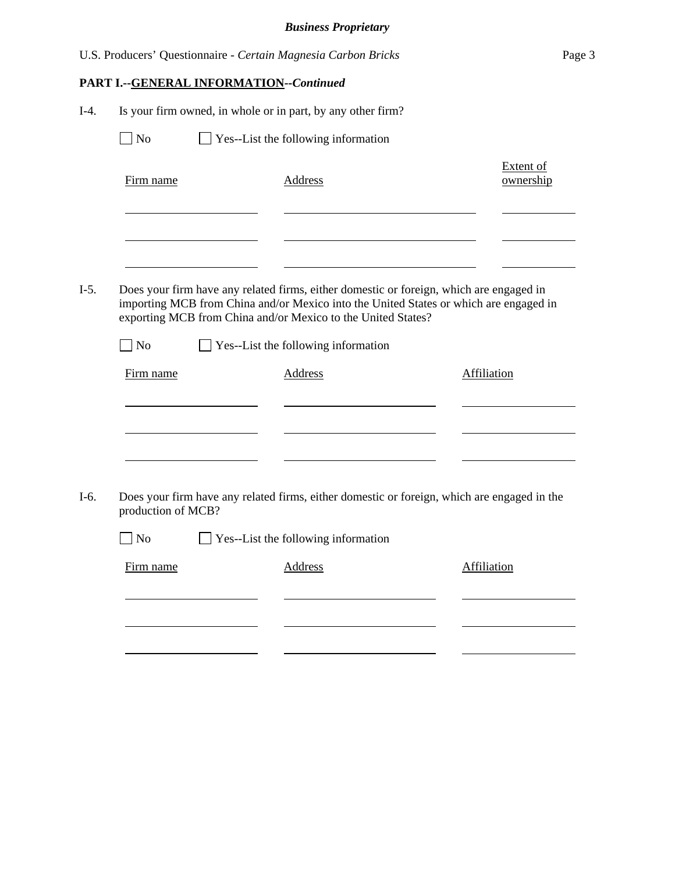|         |                                                             |                                         | U.S. Producers' Questionnaire - Certain Magnesia Carbon Bricks                                                                                                                                                                                                                                            | Page 3                        |  |  |  |
|---------|-------------------------------------------------------------|-----------------------------------------|-----------------------------------------------------------------------------------------------------------------------------------------------------------------------------------------------------------------------------------------------------------------------------------------------------------|-------------------------------|--|--|--|
|         |                                                             | PART I.--GENERAL INFORMATION--Continued |                                                                                                                                                                                                                                                                                                           |                               |  |  |  |
| $I-4.$  | Is your firm owned, in whole or in part, by any other firm? |                                         |                                                                                                                                                                                                                                                                                                           |                               |  |  |  |
|         | Yes--List the following information<br>N <sub>o</sub>       |                                         |                                                                                                                                                                                                                                                                                                           |                               |  |  |  |
|         | Firm name                                                   |                                         | <b>Address</b>                                                                                                                                                                                                                                                                                            | <b>Extent of</b><br>ownership |  |  |  |
| $I-5$ . | <b>No</b><br>Firm name                                      |                                         | Does your firm have any related firms, either domestic or foreign, which are engaged in<br>importing MCB from China and/or Mexico into the United States or which are engaged in<br>exporting MCB from China and/or Mexico to the United States?<br>Yes--List the following information<br><b>Address</b> | <b>Affiliation</b>            |  |  |  |
| $I-6.$  | production of MCB?<br>Firm name                             |                                         | Does your firm have any related firms, either domestic or foreign, which are engaged in the<br>$\Box$ No $\Box$ Yes--List the following information<br><b>Address</b>                                                                                                                                     | Affiliation                   |  |  |  |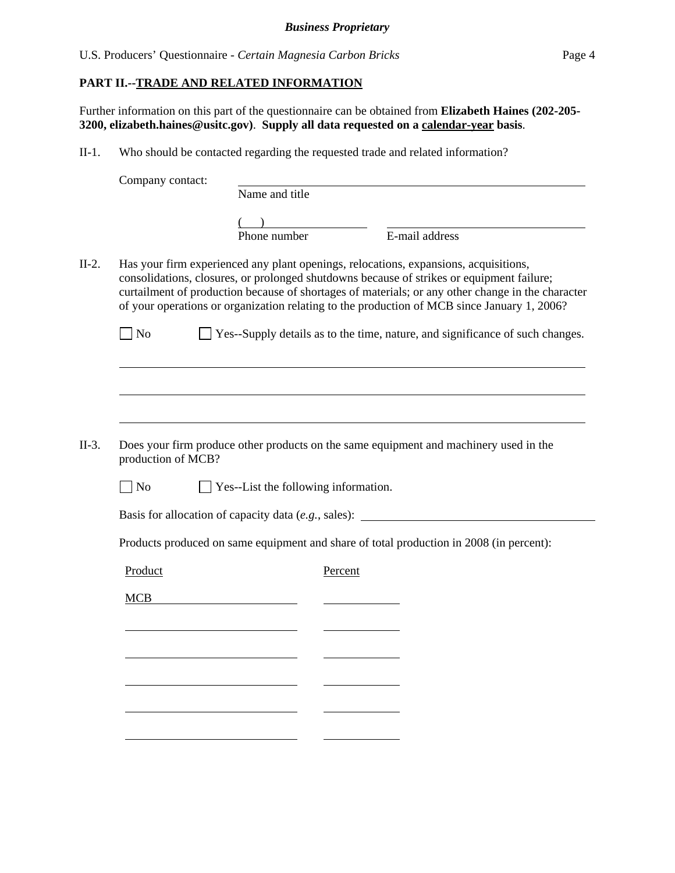## **PART II.--TRADE AND RELATED INFORMATION**

Further information on this part of the questionnaire can be obtained from **Elizabeth Haines (202-205- 3200, elizabeth.haines@usitc.gov)**. **Supply all data requested on a calendar-year basis**.

II-1. Who should be contacted regarding the requested trade and related information?

|         | Company contact:   | Name and title                          |         |                                                                                                                                                                                                                                                                                                                                                                                                                                                                        |
|---------|--------------------|-----------------------------------------|---------|------------------------------------------------------------------------------------------------------------------------------------------------------------------------------------------------------------------------------------------------------------------------------------------------------------------------------------------------------------------------------------------------------------------------------------------------------------------------|
|         |                    |                                         |         |                                                                                                                                                                                                                                                                                                                                                                                                                                                                        |
|         |                    |                                         |         |                                                                                                                                                                                                                                                                                                                                                                                                                                                                        |
|         |                    | Phone number                            |         | E-mail address                                                                                                                                                                                                                                                                                                                                                                                                                                                         |
| $II-2.$ | $\sqrt{ }$ No      |                                         |         | Has your firm experienced any plant openings, relocations, expansions, acquisitions,<br>consolidations, closures, or prolonged shutdowns because of strikes or equipment failure;<br>curtailment of production because of shortages of materials; or any other change in the character<br>of your operations or organization relating to the production of MCB since January 1, 2006?<br>Yes--Supply details as to the time, nature, and significance of such changes. |
|         |                    |                                         |         |                                                                                                                                                                                                                                                                                                                                                                                                                                                                        |
|         |                    |                                         |         |                                                                                                                                                                                                                                                                                                                                                                                                                                                                        |
|         |                    |                                         |         |                                                                                                                                                                                                                                                                                                                                                                                                                                                                        |
|         |                    |                                         |         |                                                                                                                                                                                                                                                                                                                                                                                                                                                                        |
| $II-3.$ | production of MCB? |                                         |         | Does your firm produce other products on the same equipment and machinery used in the                                                                                                                                                                                                                                                                                                                                                                                  |
|         | $\log$             | Yes--List the following information.    |         |                                                                                                                                                                                                                                                                                                                                                                                                                                                                        |
|         |                    |                                         |         | Basis for allocation of capacity data (e.g., sales):                                                                                                                                                                                                                                                                                                                                                                                                                   |
|         |                    |                                         |         | Products produced on same equipment and share of total production in 2008 (in percent):                                                                                                                                                                                                                                                                                                                                                                                |
|         | Product            |                                         | Percent |                                                                                                                                                                                                                                                                                                                                                                                                                                                                        |
|         | <b>MCB</b>         | <u> 1989 - Johann Barbara, martin a</u> |         |                                                                                                                                                                                                                                                                                                                                                                                                                                                                        |
|         |                    |                                         |         |                                                                                                                                                                                                                                                                                                                                                                                                                                                                        |
|         |                    |                                         |         |                                                                                                                                                                                                                                                                                                                                                                                                                                                                        |
|         |                    |                                         |         |                                                                                                                                                                                                                                                                                                                                                                                                                                                                        |
|         |                    |                                         |         |                                                                                                                                                                                                                                                                                                                                                                                                                                                                        |
|         |                    |                                         |         |                                                                                                                                                                                                                                                                                                                                                                                                                                                                        |
|         |                    |                                         |         |                                                                                                                                                                                                                                                                                                                                                                                                                                                                        |
|         |                    |                                         |         |                                                                                                                                                                                                                                                                                                                                                                                                                                                                        |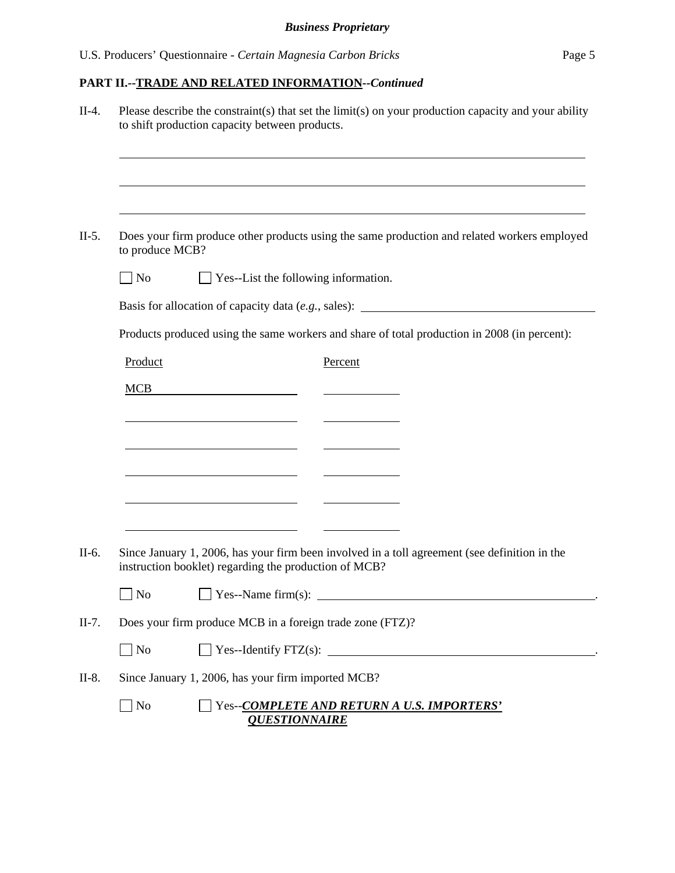# **PART II.--TRADE AND RELATED INFORMATION***--Continued*

| $II-4.$ | Please describe the constraint(s) that set the limit(s) on your production capacity and your ability<br>to shift production capacity between products. |  |  |  |  |
|---------|--------------------------------------------------------------------------------------------------------------------------------------------------------|--|--|--|--|
|         |                                                                                                                                                        |  |  |  |  |
| $II-5.$ | Does your firm produce other products using the same production and related workers employed<br>to produce MCB?                                        |  |  |  |  |
|         | $\Box$ No<br>$\Box$ Yes--List the following information.                                                                                               |  |  |  |  |
|         | Basis for allocation of capacity data (e.g., sales): ____________________________                                                                      |  |  |  |  |
|         | Products produced using the same workers and share of total production in 2008 (in percent):                                                           |  |  |  |  |
|         | Product<br>Percent                                                                                                                                     |  |  |  |  |
|         | <b>MCB</b><br><u> 1989 - Johann Barbara, martxa alemaniar a</u>                                                                                        |  |  |  |  |
|         | <u> 1989 - Johann Barn, amerikansk politiker (d. 1989)</u>                                                                                             |  |  |  |  |
|         | <u> 1989 - Johann Barn, mars eta bainar eta baina eta baina eta baina eta baina eta baina eta baina eta baina e</u>                                    |  |  |  |  |
|         | <u> 1989 - Johann Barn, amerikansk politiker (</u>                                                                                                     |  |  |  |  |
|         |                                                                                                                                                        |  |  |  |  |
|         |                                                                                                                                                        |  |  |  |  |
| II-6.   | Since January 1, 2006, has your firm been involved in a toll agreement (see definition in the<br>instruction booklet) regarding the production of MCB? |  |  |  |  |
|         |                                                                                                                                                        |  |  |  |  |
| $II-7.$ | Does your firm produce MCB in a foreign trade zone (FTZ)?                                                                                              |  |  |  |  |
|         | $\Box$ No                                                                                                                                              |  |  |  |  |
| $II-8.$ | Since January 1, 2006, has your firm imported MCB?                                                                                                     |  |  |  |  |
|         | $\Box$ No<br>Yes--COMPLETE AND RETURN A U.S. IMPORTERS'<br><b>QUESTIONNAIRE</b>                                                                        |  |  |  |  |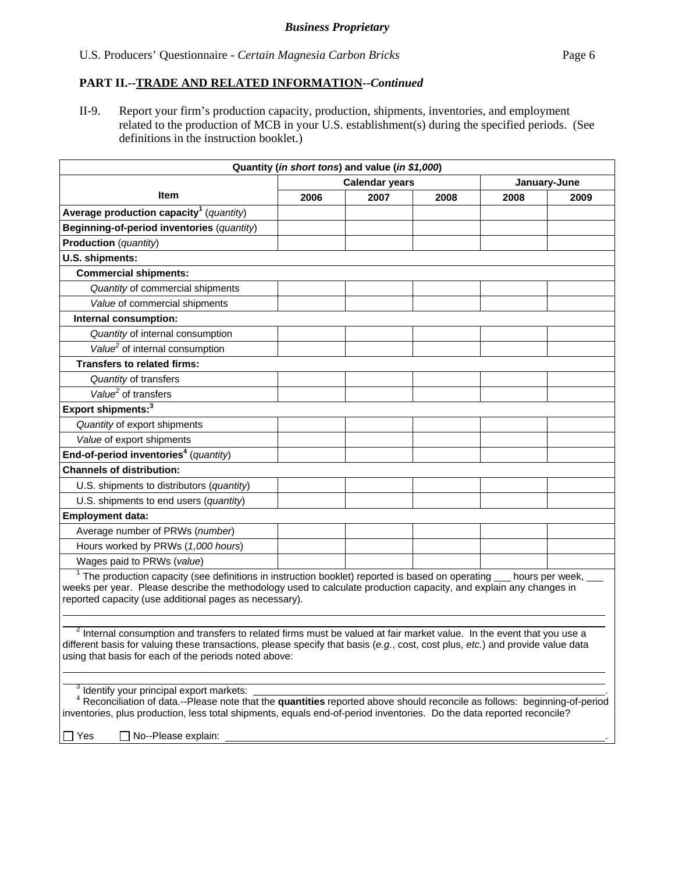## **PART II.--TRADE AND RELATED INFORMATION***--Continued*

II-9. Report your firm's production capacity, production, shipments, inventories, and employment related to the production of MCB in your U.S. establishment(s) during the specified periods. (See definitions in the instruction booklet.)

| Quantity (in short tons) and value (in \$1,000)                                                                                                                                                                                                                                                                              |                       |      |      |                 |      |
|------------------------------------------------------------------------------------------------------------------------------------------------------------------------------------------------------------------------------------------------------------------------------------------------------------------------------|-----------------------|------|------|-----------------|------|
|                                                                                                                                                                                                                                                                                                                              | <b>Calendar years</b> |      |      | January-June    |      |
| <b>Item</b>                                                                                                                                                                                                                                                                                                                  | 2006                  | 2007 | 2008 | 2008            | 2009 |
| Average production capacity <sup>1</sup> (quantity)                                                                                                                                                                                                                                                                          |                       |      |      |                 |      |
| Beginning-of-period inventories (quantity)                                                                                                                                                                                                                                                                                   |                       |      |      |                 |      |
| <b>Production</b> (quantity)                                                                                                                                                                                                                                                                                                 |                       |      |      |                 |      |
| U.S. shipments:                                                                                                                                                                                                                                                                                                              |                       |      |      |                 |      |
| <b>Commercial shipments:</b>                                                                                                                                                                                                                                                                                                 |                       |      |      |                 |      |
| Quantity of commercial shipments                                                                                                                                                                                                                                                                                             |                       |      |      |                 |      |
| Value of commercial shipments                                                                                                                                                                                                                                                                                                |                       |      |      |                 |      |
| Internal consumption:                                                                                                                                                                                                                                                                                                        |                       |      |      |                 |      |
| Quantity of internal consumption                                                                                                                                                                                                                                                                                             |                       |      |      |                 |      |
| Value <sup>2</sup> of internal consumption                                                                                                                                                                                                                                                                                   |                       |      |      |                 |      |
| <b>Transfers to related firms:</b>                                                                                                                                                                                                                                                                                           |                       |      |      |                 |      |
| Quantity of transfers                                                                                                                                                                                                                                                                                                        |                       |      |      |                 |      |
| Value <sup>2</sup> of transfers                                                                                                                                                                                                                                                                                              |                       |      |      |                 |      |
| Export shipments: <sup>3</sup>                                                                                                                                                                                                                                                                                               |                       |      |      |                 |      |
| Quantity of export shipments                                                                                                                                                                                                                                                                                                 |                       |      |      |                 |      |
| Value of export shipments                                                                                                                                                                                                                                                                                                    |                       |      |      |                 |      |
| End-of-period inventories <sup>4</sup> (quantity)                                                                                                                                                                                                                                                                            |                       |      |      |                 |      |
| <b>Channels of distribution:</b>                                                                                                                                                                                                                                                                                             |                       |      |      |                 |      |
| U.S. shipments to distributors (quantity)                                                                                                                                                                                                                                                                                    |                       |      |      |                 |      |
| U.S. shipments to end users (quantity)                                                                                                                                                                                                                                                                                       |                       |      |      |                 |      |
| <b>Employment data:</b>                                                                                                                                                                                                                                                                                                      |                       |      |      |                 |      |
| Average number of PRWs (number)                                                                                                                                                                                                                                                                                              |                       |      |      |                 |      |
| Hours worked by PRWs (1,000 hours)                                                                                                                                                                                                                                                                                           |                       |      |      |                 |      |
| Wages paid to PRWs (value)                                                                                                                                                                                                                                                                                                   |                       |      |      |                 |      |
| $1$ The production capacity (see definitions in instruction booklet) reported is based on operating $_$<br>weeks per year. Please describe the methodology used to calculate production capacity, and explain any changes in<br>reported capacity (use additional pages as necessary).                                       |                       |      |      | hours per week, |      |
| <sup>2</sup> Internal consumption and transfers to related firms must be valued at fair market value. In the event that you use a<br>different basis for valuing these transactions, please specify that basis (e.g., cost, cost plus, etc.) and provide value data<br>using that basis for each of the periods noted above: |                       |      |      |                 |      |
| <sup>3</sup> Identify your principal export markets:<br>Reconciliation of data.--Please note that the quantities reported above should reconcile as follows: beginning-of-period<br>inventories, plus production, less total shipments, equals end-of-period inventories. Do the data reported reconcile?                    |                       |      |      |                 |      |
| No--Please explain:<br>$\Box$ Yes                                                                                                                                                                                                                                                                                            |                       |      |      |                 |      |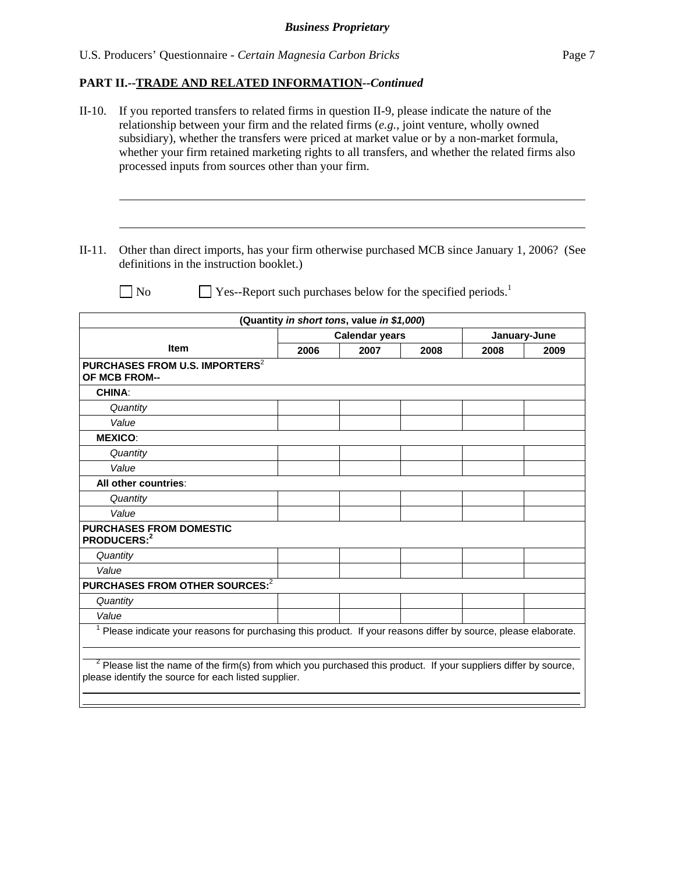U.S. Producers' Questionnaire - *Certain Magnesia Carbon Bricks* Page 7

# **PART II.--TRADE AND RELATED INFORMATION***--Continued*

| II-10. If you reported transfers to related firms in question II-9, please indicate the nature of the |
|-------------------------------------------------------------------------------------------------------|
| relationship between your firm and the related firms $(e.g.,$ joint venture, wholly owned             |
| subsidiary), whether the transfers were priced at market value or by a non-market formula,            |
| whether your firm retained marketing rights to all transfers, and whether the related firms also      |
| processed inputs from sources other than your firm.                                                   |

II-11. Other than direct imports, has your firm otherwise purchased MCB since January 1, 2006? (See definitions in the instruction booklet.)

l

 $\overline{a}$ 

 $\Box$  No  $\Box$  Yes--Report such purchases below for the specified periods.<sup>1</sup>

|                                                                                                                                                                            | <b>Calendar years</b><br>January-June |      |      |      |      |  |
|----------------------------------------------------------------------------------------------------------------------------------------------------------------------------|---------------------------------------|------|------|------|------|--|
| <b>Item</b>                                                                                                                                                                | 2006                                  | 2007 | 2008 | 2008 | 2009 |  |
| PURCHASES FROM U.S. IMPORTERS <sup>2</sup><br>OF MCB FROM--                                                                                                                |                                       |      |      |      |      |  |
| <b>CHINA:</b>                                                                                                                                                              |                                       |      |      |      |      |  |
| Quantity                                                                                                                                                                   |                                       |      |      |      |      |  |
| Value                                                                                                                                                                      |                                       |      |      |      |      |  |
| <b>MEXICO:</b>                                                                                                                                                             |                                       |      |      |      |      |  |
| Quantity                                                                                                                                                                   |                                       |      |      |      |      |  |
| Value                                                                                                                                                                      |                                       |      |      |      |      |  |
| All other countries:                                                                                                                                                       |                                       |      |      |      |      |  |
| Quantity                                                                                                                                                                   |                                       |      |      |      |      |  |
| Value                                                                                                                                                                      |                                       |      |      |      |      |  |
| <b>PURCHASES FROM DOMESTIC</b><br>PRODUCERS: <sup>2</sup>                                                                                                                  |                                       |      |      |      |      |  |
| Quantity                                                                                                                                                                   |                                       |      |      |      |      |  |
| Value                                                                                                                                                                      |                                       |      |      |      |      |  |
| PURCHASES FROM OTHER SOURCES: <sup>2</sup>                                                                                                                                 |                                       |      |      |      |      |  |
| Quantity                                                                                                                                                                   |                                       |      |      |      |      |  |
| Value                                                                                                                                                                      |                                       |      |      |      |      |  |
| Please indicate your reasons for purchasing this product. If your reasons differ by source, please elaborate.                                                              |                                       |      |      |      |      |  |
| $2$ Please list the name of the firm(s) from which you purchased this product. If your suppliers differ by source,<br>please identify the source for each listed supplier. |                                       |      |      |      |      |  |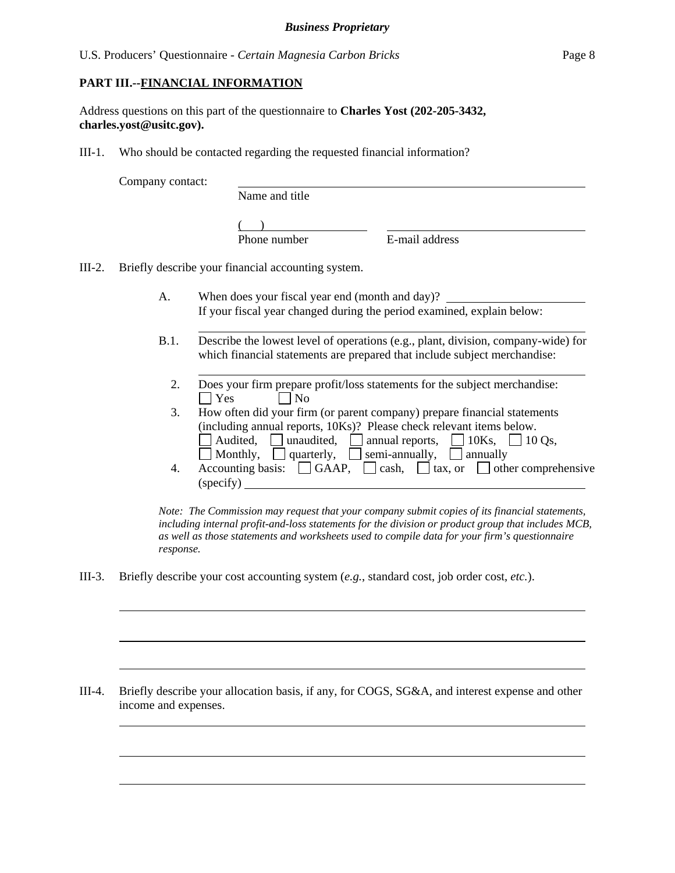### **PART III.--FINANCIAL INFORMATION**

Address questions on this part of the questionnaire to **Charles Yost (202-205-3432, charles.yost@usitc.gov).** 

III-1. Who should be contacted regarding the requested financial information?

Company contact:

 $\overline{a}$ 

 $\overline{a}$ 

 $\overline{a}$ 

 $\overline{a}$ 

Name and title

 $($  )  $)$ 

Phone number **E**-mail address

III-2. Briefly describe your financial accounting system.

- A. When does your fiscal year end (month and day)? If your fiscal year changed during the period examined, explain below:
- B.1. Describe the lowest level of operations (e.g., plant, division, company-wide) for which financial statements are prepared that include subject merchandise:
	- 2. Does your firm prepare profit/loss statements for the subject merchandise:  $\bigcap$  Yes  $\bigcap$  No
	- 3. How often did your firm (or parent company) prepare financial statements (including annual reports, 10Ks)? Please check relevant items below. Audited, unaudited, annual reports,  $\Box$  10Ks,  $\Box$  10 Qs, Monthly, quarterly, semi-annually, annually
	- 4. Accounting basis:  $\Box$  GAAP,  $\Box$  cash,  $\Box$  tax, or  $\Box$  other comprehensive (specify)

*Note: The Commission may request that your company submit copies of its financial statements, including internal profit-and-loss statements for the division or product group that includes MCB, as well as those statements and worksheets used to compile data for your firm's questionnaire response.* 

III-3. Briefly describe your cost accounting system (*e.g.*, standard cost, job order cost, *etc.*).

III-4. Briefly describe your allocation basis, if any, for COGS, SG&A, and interest expense and other income and expenses.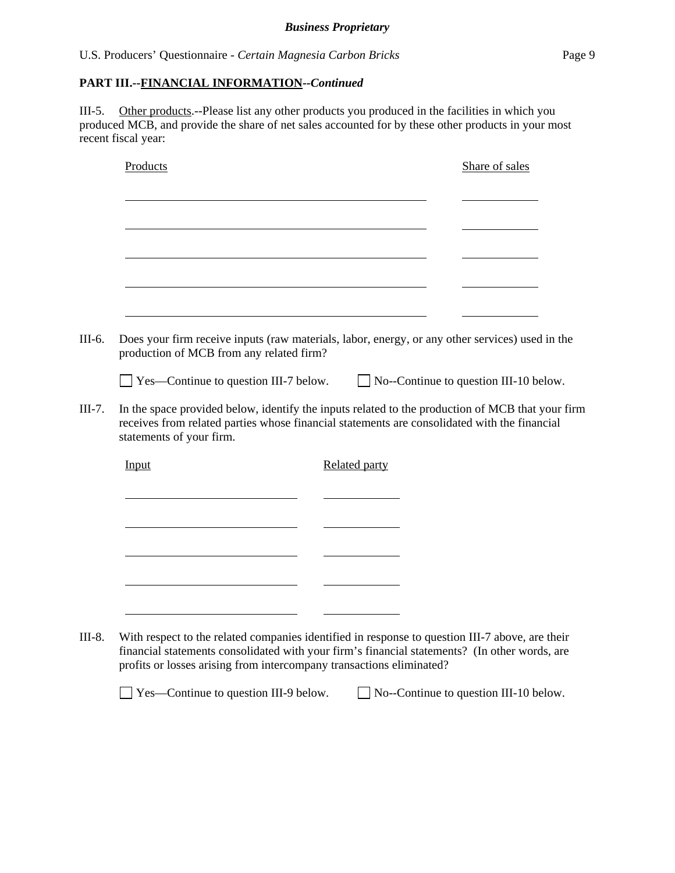III-5. Other products.--Please list any other products you produced in the facilities in which you produced MCB, and provide the share of net sales accounted for by these other products in your most recent fiscal year:

| Products                                     | Share of sales                                                                                                                                                                                   |
|----------------------------------------------|--------------------------------------------------------------------------------------------------------------------------------------------------------------------------------------------------|
|                                              |                                                                                                                                                                                                  |
|                                              |                                                                                                                                                                                                  |
|                                              |                                                                                                                                                                                                  |
|                                              |                                                                                                                                                                                                  |
|                                              |                                                                                                                                                                                                  |
|                                              |                                                                                                                                                                                                  |
|                                              |                                                                                                                                                                                                  |
|                                              | Does your firm receive inputs (raw materials, labor, energy, or any other services) used in the                                                                                                  |
| production of MCB from any related firm?     |                                                                                                                                                                                                  |
| $\Box$ Yes—Continue to question III-7 below. | $\Box$ No--Continue to question III-10 below.                                                                                                                                                    |
|                                              |                                                                                                                                                                                                  |
|                                              |                                                                                                                                                                                                  |
|                                              | In the space provided below, identify the inputs related to the production of MCB that your firm                                                                                                 |
|                                              | receives from related parties whose financial statements are consolidated with the financial                                                                                                     |
| statements of your firm.                     |                                                                                                                                                                                                  |
| Input                                        | <b>Related party</b>                                                                                                                                                                             |
|                                              |                                                                                                                                                                                                  |
|                                              |                                                                                                                                                                                                  |
|                                              |                                                                                                                                                                                                  |
|                                              |                                                                                                                                                                                                  |
|                                              |                                                                                                                                                                                                  |
|                                              |                                                                                                                                                                                                  |
|                                              |                                                                                                                                                                                                  |
|                                              |                                                                                                                                                                                                  |
|                                              |                                                                                                                                                                                                  |
|                                              | With respect to the related companies identified in response to question III-7 above, are their<br>financial statements consolidated with your firm's financial statements? (In other words, are |

□ Yes—Continue to question III-9 below. □ No--Continue to question III-10 below.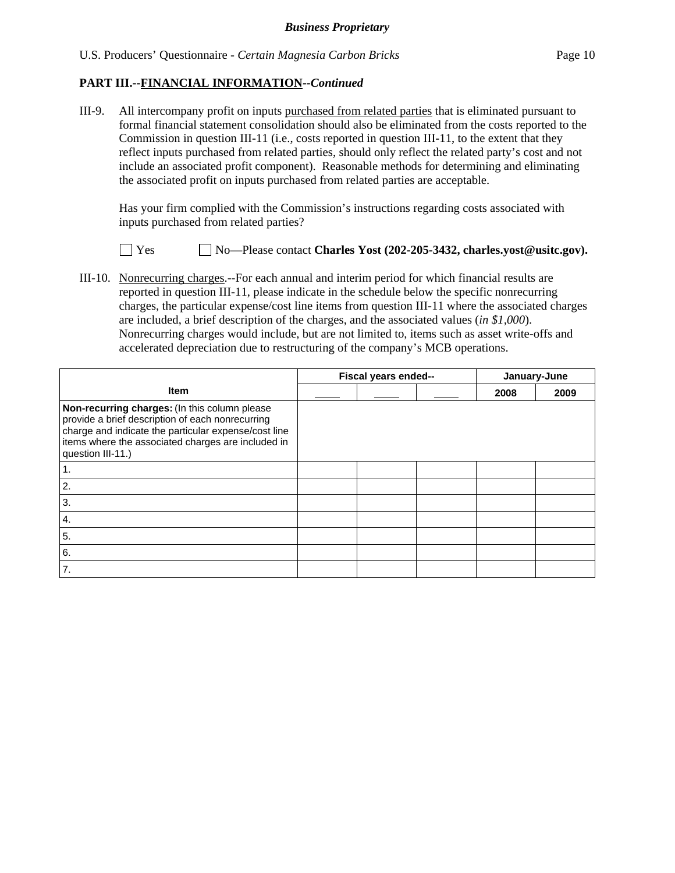III-9. All intercompany profit on inputs purchased from related parties that is eliminated pursuant to formal financial statement consolidation should also be eliminated from the costs reported to the Commission in question III-11 (i.e., costs reported in question III-11, to the extent that they reflect inputs purchased from related parties, should only reflect the related party's cost and not include an associated profit component). Reasonable methods for determining and eliminating the associated profit on inputs purchased from related parties are acceptable.

 Has your firm complied with the Commission's instructions regarding costs associated with inputs purchased from related parties?

Yes No—Please contact **Charles Yost (202-205-3432, charles.yost@usitc.gov).**

III-10. Nonrecurring charges.--For each annual and interim period for which financial results are reported in question III-11, please indicate in the schedule below the specific nonrecurring charges, the particular expense/cost line items from question III-11 where the associated charges are included, a brief description of the charges, and the associated values (*in \$1,000*). Nonrecurring charges would include, but are not limited to, items such as asset write-offs and accelerated depreciation due to restructuring of the company's MCB operations.

|                                                                                                                                                                                                                                      | Fiscal years ended-- |  | January-June |      |      |
|--------------------------------------------------------------------------------------------------------------------------------------------------------------------------------------------------------------------------------------|----------------------|--|--------------|------|------|
| <b>Item</b>                                                                                                                                                                                                                          |                      |  |              | 2008 | 2009 |
| Non-recurring charges: (In this column please<br>provide a brief description of each nonrecurring<br>charge and indicate the particular expense/cost line<br>items where the associated charges are included in<br>question III-11.) |                      |  |              |      |      |
| 1.                                                                                                                                                                                                                                   |                      |  |              |      |      |
| 2.                                                                                                                                                                                                                                   |                      |  |              |      |      |
| 3.                                                                                                                                                                                                                                   |                      |  |              |      |      |
| 4.                                                                                                                                                                                                                                   |                      |  |              |      |      |
| 5.                                                                                                                                                                                                                                   |                      |  |              |      |      |
| 6.                                                                                                                                                                                                                                   |                      |  |              |      |      |
| 7.                                                                                                                                                                                                                                   |                      |  |              |      |      |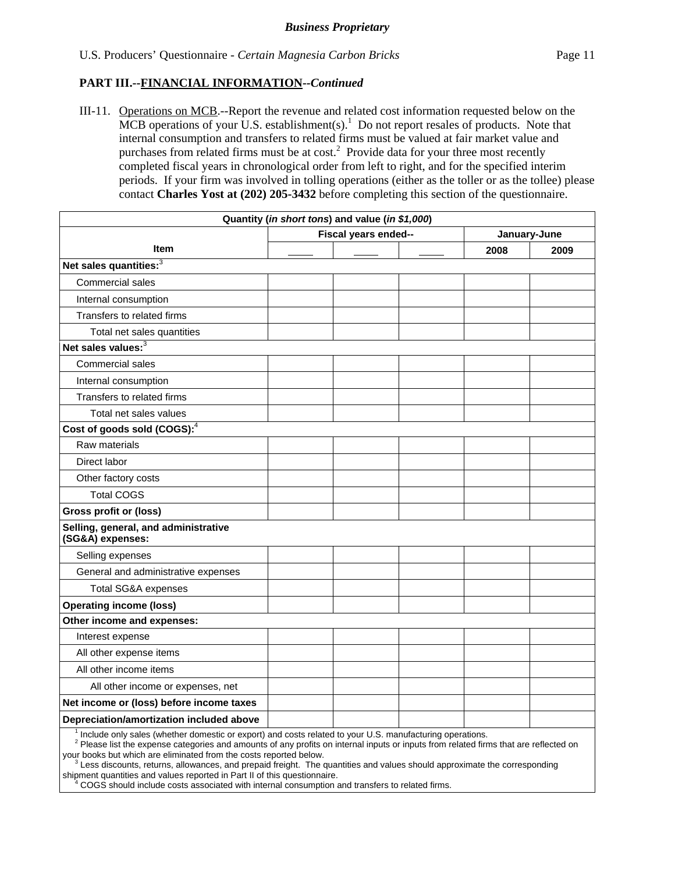III-11. Operations on MCB.--Report the revenue and related cost information requested below on the MCB operations of your U.S. establishment(s).<sup>1</sup> Do not report resales of products. Note that internal consumption and transfers to related firms must be valued at fair market value and purchases from related firms must be at  $cost<sup>2</sup>$ . Provide data for your three most recently completed fiscal years in chronological order from left to right, and for the specified interim periods. If your firm was involved in tolling operations (either as the toller or as the tollee) please contact **Charles Yost at (202) 205-3432** before completing this section of the questionnaire.

| Quantity (in short tons) and value (in \$1,000)          |                      |      |              |  |  |  |
|----------------------------------------------------------|----------------------|------|--------------|--|--|--|
|                                                          | Fiscal years ended-- |      | January-June |  |  |  |
| <b>Item</b>                                              |                      | 2008 | 2009         |  |  |  |
| Net sales quantities: <sup>3</sup>                       |                      |      |              |  |  |  |
| Commercial sales                                         |                      |      |              |  |  |  |
| Internal consumption                                     |                      |      |              |  |  |  |
| Transfers to related firms                               |                      |      |              |  |  |  |
| Total net sales quantities                               |                      |      |              |  |  |  |
| Net sales values: <sup>3</sup>                           |                      |      |              |  |  |  |
| Commercial sales                                         |                      |      |              |  |  |  |
| Internal consumption                                     |                      |      |              |  |  |  |
| Transfers to related firms                               |                      |      |              |  |  |  |
| Total net sales values                                   |                      |      |              |  |  |  |
| Cost of goods sold (COGS): $4$                           |                      |      |              |  |  |  |
| Raw materials                                            |                      |      |              |  |  |  |
| Direct labor                                             |                      |      |              |  |  |  |
| Other factory costs                                      |                      |      |              |  |  |  |
| <b>Total COGS</b>                                        |                      |      |              |  |  |  |
| <b>Gross profit or (loss)</b>                            |                      |      |              |  |  |  |
| Selling, general, and administrative<br>(SG&A) expenses: |                      |      |              |  |  |  |
| Selling expenses                                         |                      |      |              |  |  |  |
| General and administrative expenses                      |                      |      |              |  |  |  |
| <b>Total SG&amp;A expenses</b>                           |                      |      |              |  |  |  |
| <b>Operating income (loss)</b>                           |                      |      |              |  |  |  |
| Other income and expenses:                               |                      |      |              |  |  |  |
| Interest expense                                         |                      |      |              |  |  |  |
| All other expense items                                  |                      |      |              |  |  |  |
| All other income items                                   |                      |      |              |  |  |  |
| All other income or expenses, net                        |                      |      |              |  |  |  |
| Net income or (loss) before income taxes                 |                      |      |              |  |  |  |
| Depreciation/amortization included above                 |                      |      |              |  |  |  |

<sup>1</sup> Include only sales (whether domestic or export) and costs related to your U.S. manufacturing operations.

<sup>2</sup> Please list the expense categories and amounts of any profits on internal inputs or inputs from related firms that are reflected on your books but which are eliminated from the costs reported below.

 $3$  Less discounts, returns, allowances, and prepaid freight. The quantities and values should approximate the corresponding shipment quantities and values reported in Part II of this questionnaire.

 <sup>4</sup> COGS should include costs associated with internal consumption and transfers to related firms.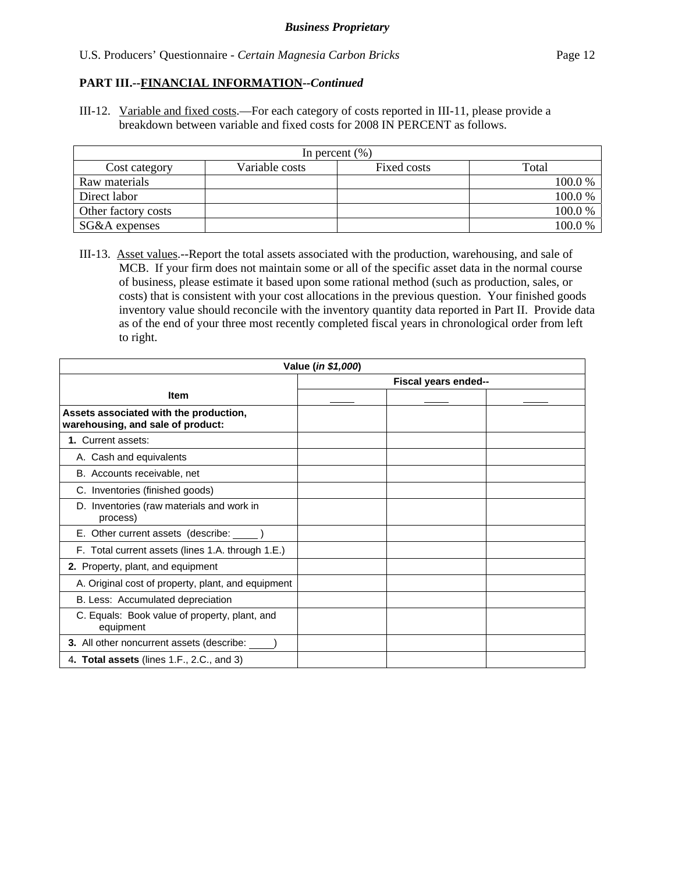III-12. Variable and fixed costs.—For each category of costs reported in III-11, please provide a breakdown between variable and fixed costs for 2008 IN PERCENT as follows.

| In percent $(\% )$  |                |             |        |  |  |  |
|---------------------|----------------|-------------|--------|--|--|--|
| Cost category       | Variable costs | Fixed costs | Total  |  |  |  |
| Raw materials       |                |             | 100.0% |  |  |  |
| Direct labor        |                |             | 100.0% |  |  |  |
| Other factory costs |                |             | 100.0% |  |  |  |
| SG&A expenses       |                |             | 100.0% |  |  |  |

III-13. Asset values.--Report the total assets associated with the production, warehousing, and sale of MCB. If your firm does not maintain some or all of the specific asset data in the normal course of business, please estimate it based upon some rational method (such as production, sales, or costs) that is consistent with your cost allocations in the previous question. Your finished goods inventory value should reconcile with the inventory quantity data reported in Part II. Provide data as of the end of your three most recently completed fiscal years in chronological order from left to right.

| Value (in \$1,000)                                                          |                      |  |  |  |  |
|-----------------------------------------------------------------------------|----------------------|--|--|--|--|
|                                                                             | Fiscal years ended-- |  |  |  |  |
| <b>Item</b>                                                                 |                      |  |  |  |  |
| Assets associated with the production,<br>warehousing, and sale of product: |                      |  |  |  |  |
| 1. Current assets:                                                          |                      |  |  |  |  |
| A. Cash and equivalents                                                     |                      |  |  |  |  |
| B. Accounts receivable, net                                                 |                      |  |  |  |  |
| C. Inventories (finished goods)                                             |                      |  |  |  |  |
| D. Inventories (raw materials and work in<br>process)                       |                      |  |  |  |  |
| E. Other current assets (describe: _____)                                   |                      |  |  |  |  |
| F. Total current assets (lines 1.A. through 1.E.)                           |                      |  |  |  |  |
| 2. Property, plant, and equipment                                           |                      |  |  |  |  |
| A. Original cost of property, plant, and equipment                          |                      |  |  |  |  |
| B. Less: Accumulated depreciation                                           |                      |  |  |  |  |
| C. Equals: Book value of property, plant, and<br>equipment                  |                      |  |  |  |  |
| 3. All other noncurrent assets (describe: ______)                           |                      |  |  |  |  |
| 4. Total assets (lines 1.F., 2.C., and 3)                                   |                      |  |  |  |  |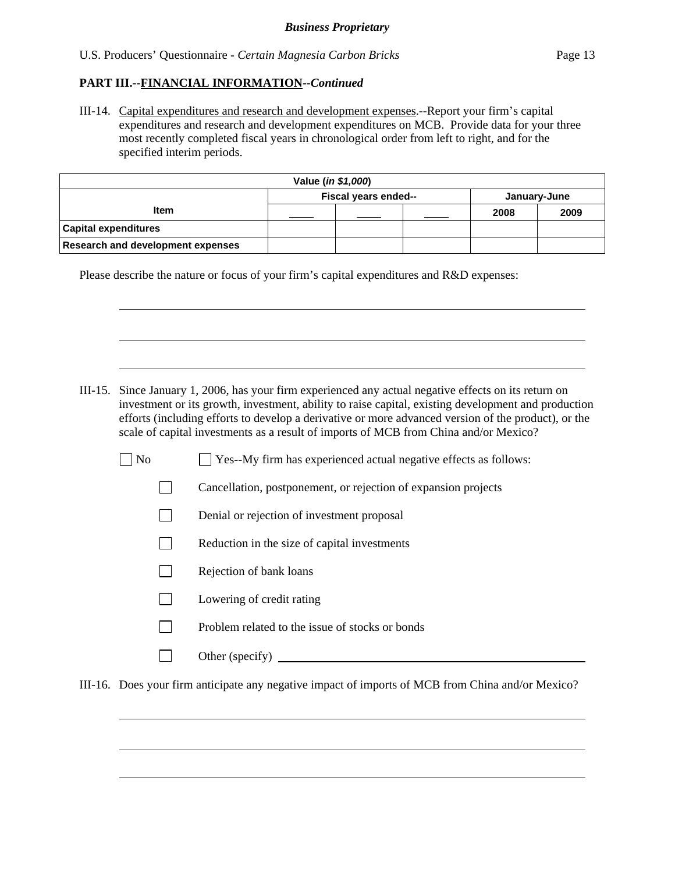$\overline{a}$ 

 $\overline{a}$ 

 $\overline{\phantom{a}}$ 

 $\overline{a}$ 

 $\overline{a}$ 

III-14. Capital expenditures and research and development expenses.--Report your firm's capital expenditures and research and development expenditures on MCB. Provide data for your three most recently completed fiscal years in chronological order from left to right, and for the specified interim periods.

| Value ( <i>in \$1,000</i> )              |                                      |  |  |      |      |  |
|------------------------------------------|--------------------------------------|--|--|------|------|--|
|                                          | Fiscal years ended--<br>January-June |  |  |      |      |  |
| <b>Item</b>                              |                                      |  |  | 2008 | 2009 |  |
| <b>Capital expenditures</b>              |                                      |  |  |      |      |  |
| <b>Research and development expenses</b> |                                      |  |  |      |      |  |

Please describe the nature or focus of your firm's capital expenditures and R&D expenses:

- III-15. Since January 1, 2006, has your firm experienced any actual negative effects on its return on investment or its growth, investment, ability to raise capital, existing development and production efforts (including efforts to develop a derivative or more advanced version of the product), or the scale of capital investments as a result of imports of MCB from China and/or Mexico?
	- $\Box$  No  $\Box$  Yes--My firm has experienced actual negative effects as follows:
		- Cancellation, postponement, or rejection of expansion projects
		- Denial or rejection of investment proposal
		- $\Box$  Reduction in the size of capital investments
		- $\Box$  Rejection of bank loans
		- $\Box$  Lowering of credit rating
		- $\nabla$  Problem related to the issue of stocks or bonds
		- $\Box$  Other (specify)

III-16. Does your firm anticipate any negative impact of imports of MCB from China and/or Mexico?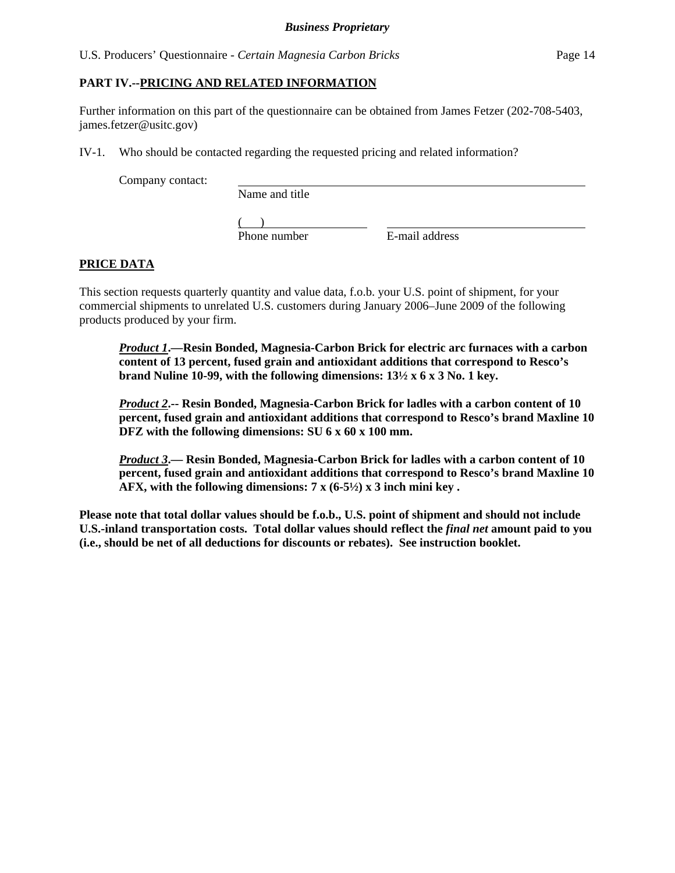#### **PART IV.--PRICING AND RELATED INFORMATION**

Further information on this part of the questionnaire can be obtained from James Fetzer (202-708-5403, james.fetzer@usitc.gov)

IV-1. Who should be contacted regarding the requested pricing and related information?

Company contact:

Name and title

 $($ Phone number E-mail address

# **PRICE DATA**

This section requests quarterly quantity and value data, f.o.b. your U.S. point of shipment, for your commercial shipments to unrelated U.S. customers during January 2006–June 2009 of the following products produced by your firm.

*Product 1***.—Resin Bonded, Magnesia-Carbon Brick for electric arc furnaces with a carbon content of 13 percent, fused grain and antioxidant additions that correspond to Resco's brand Nuline 10-99, with the following dimensions: 13½ x 6 x 3 No. 1 key.** 

*Product 2***.-- Resin Bonded, Magnesia-Carbon Brick for ladles with a carbon content of 10 percent, fused grain and antioxidant additions that correspond to Resco's brand Maxline 10 DFZ with the following dimensions: SU 6 x 60 x 100 mm.** 

*Product 3***.— Resin Bonded, Magnesia-Carbon Brick for ladles with a carbon content of 10 percent, fused grain and antioxidant additions that correspond to Resco's brand Maxline 10 AFX, with the following dimensions: 7 x (6-5½) x 3 inch mini key .** 

**Please note that total dollar values should be f.o.b., U.S. point of shipment and should not include U.S.-inland transportation costs. Total dollar values should reflect the** *final net* **amount paid to you (i.e., should be net of all deductions for discounts or rebates). See instruction booklet.**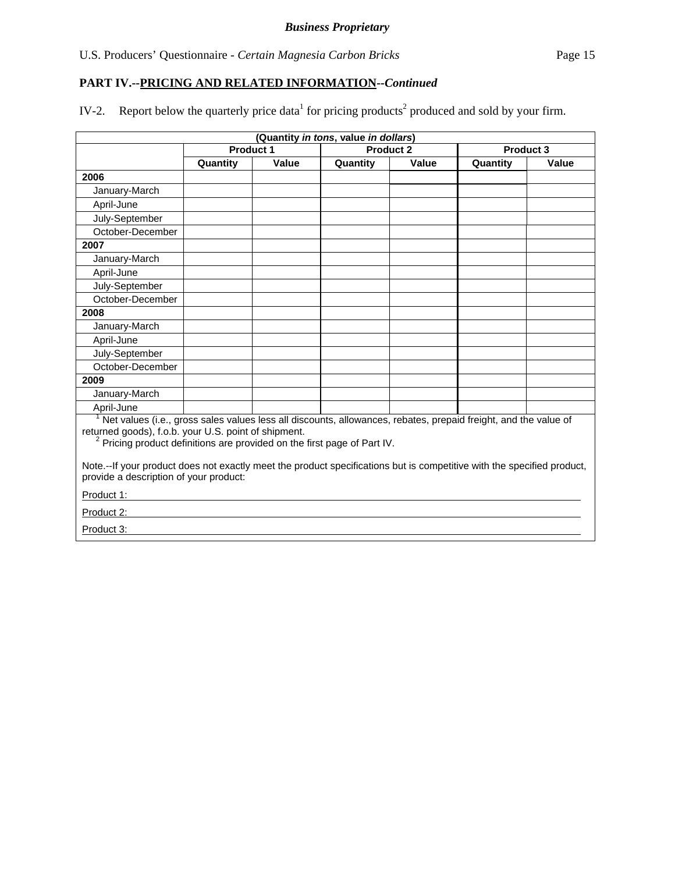IV-2. Report below the quarterly price data<sup>1</sup> for pricing products<sup>2</sup> produced and sold by your firm.

| (Quantity in tons, value in dollars)                                                                                                                                                                                                                                                                                                                                                                  |                  |       |          |                  |          |                  |
|-------------------------------------------------------------------------------------------------------------------------------------------------------------------------------------------------------------------------------------------------------------------------------------------------------------------------------------------------------------------------------------------------------|------------------|-------|----------|------------------|----------|------------------|
|                                                                                                                                                                                                                                                                                                                                                                                                       | <b>Product 1</b> |       |          | <b>Product 2</b> |          | <b>Product 3</b> |
|                                                                                                                                                                                                                                                                                                                                                                                                       | Quantity         | Value | Quantity | Value            | Quantity | <b>Value</b>     |
| 2006                                                                                                                                                                                                                                                                                                                                                                                                  |                  |       |          |                  |          |                  |
| January-March                                                                                                                                                                                                                                                                                                                                                                                         |                  |       |          |                  |          |                  |
| April-June                                                                                                                                                                                                                                                                                                                                                                                            |                  |       |          |                  |          |                  |
| July-September                                                                                                                                                                                                                                                                                                                                                                                        |                  |       |          |                  |          |                  |
| October-December                                                                                                                                                                                                                                                                                                                                                                                      |                  |       |          |                  |          |                  |
| 2007                                                                                                                                                                                                                                                                                                                                                                                                  |                  |       |          |                  |          |                  |
| January-March                                                                                                                                                                                                                                                                                                                                                                                         |                  |       |          |                  |          |                  |
| April-June                                                                                                                                                                                                                                                                                                                                                                                            |                  |       |          |                  |          |                  |
| July-September                                                                                                                                                                                                                                                                                                                                                                                        |                  |       |          |                  |          |                  |
| October-December                                                                                                                                                                                                                                                                                                                                                                                      |                  |       |          |                  |          |                  |
| 2008                                                                                                                                                                                                                                                                                                                                                                                                  |                  |       |          |                  |          |                  |
| January-March                                                                                                                                                                                                                                                                                                                                                                                         |                  |       |          |                  |          |                  |
| April-June                                                                                                                                                                                                                                                                                                                                                                                            |                  |       |          |                  |          |                  |
| July-September                                                                                                                                                                                                                                                                                                                                                                                        |                  |       |          |                  |          |                  |
| October-December                                                                                                                                                                                                                                                                                                                                                                                      |                  |       |          |                  |          |                  |
| 2009                                                                                                                                                                                                                                                                                                                                                                                                  |                  |       |          |                  |          |                  |
| January-March                                                                                                                                                                                                                                                                                                                                                                                         |                  |       |          |                  |          |                  |
| April-June                                                                                                                                                                                                                                                                                                                                                                                            |                  |       |          |                  |          |                  |
| <sup>1</sup> Net values (i.e., gross sales values less all discounts, allowances, rebates, prepaid freight, and the value of<br>returned goods), f.o.b. your U.S. point of shipment.<br><sup>2</sup> Pricing product definitions are provided on the first page of Part IV.<br>Note.--If your product does not exactly meet the product specifications but is competitive with the specified product, |                  |       |          |                  |          |                  |
| provide a description of your product:<br>Product 1:                                                                                                                                                                                                                                                                                                                                                  |                  |       |          |                  |          |                  |
|                                                                                                                                                                                                                                                                                                                                                                                                       |                  |       |          |                  |          |                  |
| Product 2:                                                                                                                                                                                                                                                                                                                                                                                            |                  |       |          |                  |          |                  |
| Product 3:                                                                                                                                                                                                                                                                                                                                                                                            |                  |       |          |                  |          |                  |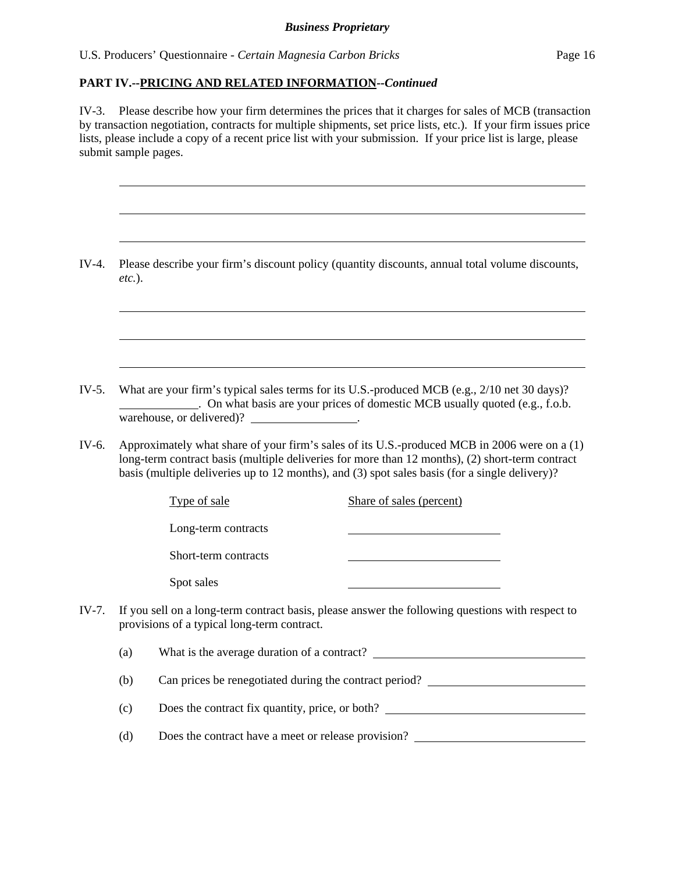U.S. Producers' Questionnaire - *Certain Magnesia Carbon Bricks* Page 16

l

 $\overline{a}$ 

 $\overline{a}$ 

 $\overline{a}$ 

 $\overline{a}$ 

 $\overline{a}$ 

# **PART IV.--PRICING AND RELATED INFORMATION***--Continued*

IV-3. Please describe how your firm determines the prices that it charges for sales of MCB (transaction by transaction negotiation, contracts for multiple shipments, set price lists, etc.). If your firm issues price lists, please include a copy of a recent price list with your submission. If your price list is large, please submit sample pages.

IV-4. Please describe your firm's discount policy (quantity discounts, annual total volume discounts, *etc.*).

IV-5. What are your firm's typical sales terms for its U.S.-produced MCB (e.g., 2/10 net 30 days)? . On what basis are your prices of domestic MCB usually quoted (e.g., f.o.b. warehouse, or delivered)? \_\_\_\_\_\_\_\_\_\_\_\_\_\_\_.

IV-6. Approximately what share of your firm's sales of its U.S.-produced MCB in 2006 were on a (1) long-term contract basis (multiple deliveries for more than 12 months), (2) short-term contract basis (multiple deliveries up to 12 months), and (3) spot sales basis (for a single delivery)?

Type of sale Share of sales (percent)

Long-term contracts

Short-term contracts

Spot sales

IV-7. If you sell on a long-term contract basis, please answer the following questions with respect to provisions of a typical long-term contract.

| (a) | What is the average duration of a contract? |  |
|-----|---------------------------------------------|--|
|     |                                             |  |
|     |                                             |  |

(b) Can prices be renegotiated during the contract period?

(c) Does the contract fix quantity, price, or both?

(d) Does the contract have a meet or release provision?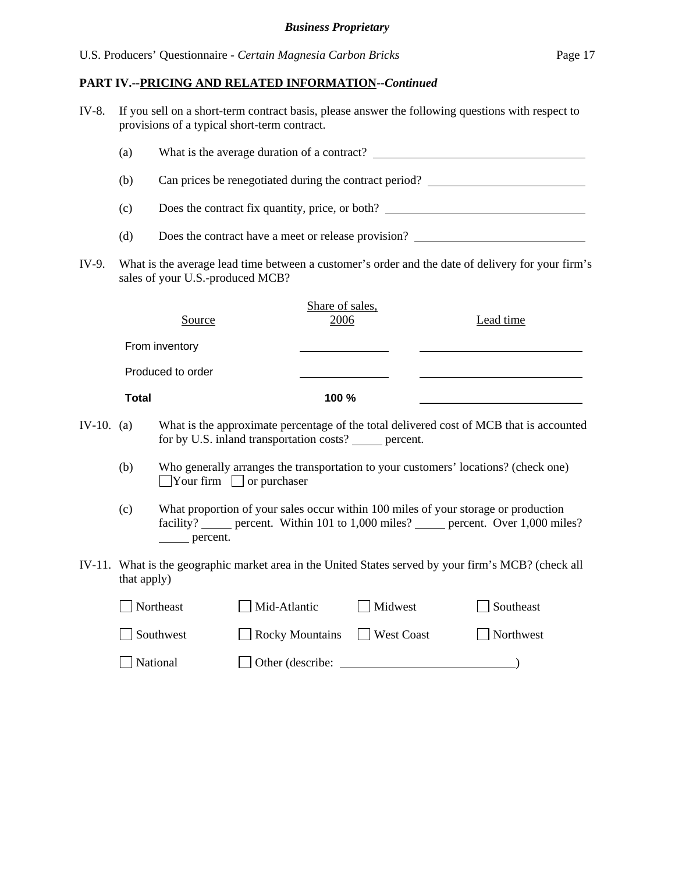| IV-8.        | If you sell on a short-term contract basis, please answer the following questions with respect to<br>provisions of a typical short-term contract. |                   |                                                          |                   |                                                                                                                                                                            |  |  |
|--------------|---------------------------------------------------------------------------------------------------------------------------------------------------|-------------------|----------------------------------------------------------|-------------------|----------------------------------------------------------------------------------------------------------------------------------------------------------------------------|--|--|
|              | (a)                                                                                                                                               |                   |                                                          |                   |                                                                                                                                                                            |  |  |
|              | (b)                                                                                                                                               |                   |                                                          |                   | Can prices be renegotiated during the contract period?                                                                                                                     |  |  |
|              | (c)                                                                                                                                               |                   |                                                          |                   | Does the contract fix quantity, price, or both?                                                                                                                            |  |  |
|              | (d)                                                                                                                                               |                   |                                                          |                   | Does the contract have a meet or release provision?                                                                                                                        |  |  |
| IV-9.        | What is the average lead time between a customer's order and the date of delivery for your firm's<br>sales of your U.S.-produced MCB?             |                   |                                                          |                   |                                                                                                                                                                            |  |  |
|              |                                                                                                                                                   | Source            | Share of sales,<br>2006                                  |                   | Lead time                                                                                                                                                                  |  |  |
|              |                                                                                                                                                   | From inventory    |                                                          |                   |                                                                                                                                                                            |  |  |
|              |                                                                                                                                                   | Produced to order |                                                          |                   |                                                                                                                                                                            |  |  |
|              | <b>Total</b>                                                                                                                                      |                   | 100 %                                                    |                   |                                                                                                                                                                            |  |  |
| IV-10. $(a)$ |                                                                                                                                                   |                   | for by U.S. inland transportation costs? ______ percent. |                   | What is the approximate percentage of the total delivered cost of MCB that is accounted                                                                                    |  |  |
|              | (b)                                                                                                                                               |                   | $\Box$ Your firm $\Box$ or purchaser                     |                   | Who generally arranges the transportation to your customers' locations? (check one)                                                                                        |  |  |
|              | (c)                                                                                                                                               | ______ percent.   |                                                          |                   | What proportion of your sales occur within 100 miles of your storage or production<br>facility? _____ percent. Within 101 to 1,000 miles? _____ percent. Over 1,000 miles? |  |  |
|              | that apply)                                                                                                                                       |                   |                                                          |                   | IV-11. What is the geographic market area in the United States served by your firm's MCB? (check all                                                                       |  |  |
|              |                                                                                                                                                   | Northeast         | Mid-Atlantic                                             | Midwest           | Southeast                                                                                                                                                                  |  |  |
|              |                                                                                                                                                   | Southwest         | $\Box$ Rocky Mountains                                   | $\Box$ West Coast | Northwest                                                                                                                                                                  |  |  |
|              |                                                                                                                                                   | National          |                                                          |                   |                                                                                                                                                                            |  |  |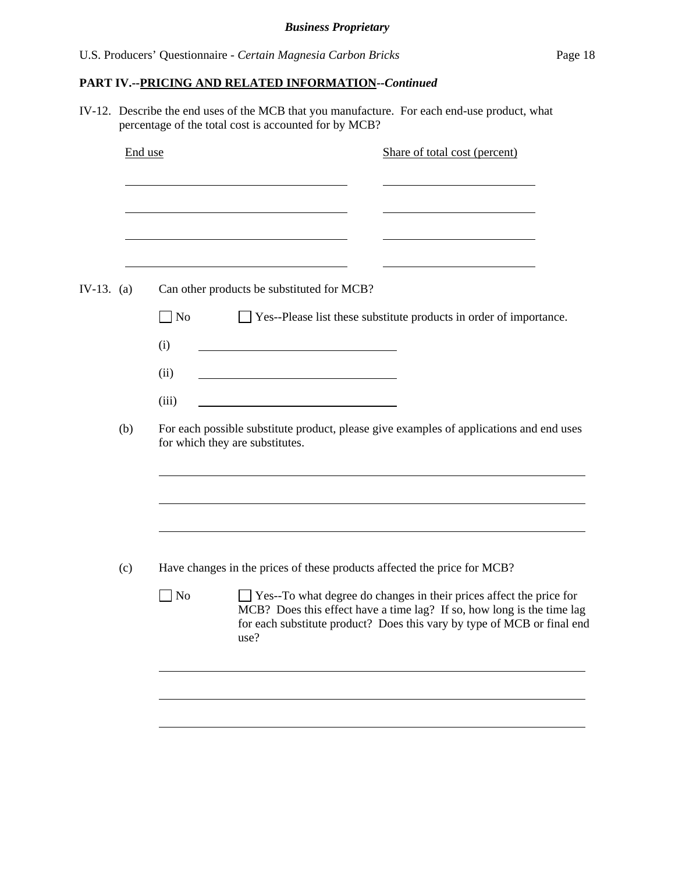|              | End use | Share of total cost (percent)                                                                                                                                                                                                          |
|--------------|---------|----------------------------------------------------------------------------------------------------------------------------------------------------------------------------------------------------------------------------------------|
|              |         |                                                                                                                                                                                                                                        |
| IV-13. $(a)$ |         | Can other products be substituted for MCB?                                                                                                                                                                                             |
|              |         | $\Box$ No<br>$\Box$ Yes--Please list these substitute products in order of importance.                                                                                                                                                 |
|              |         | (i)                                                                                                                                                                                                                                    |
|              |         | (ii)                                                                                                                                                                                                                                   |
|              |         | (iii)                                                                                                                                                                                                                                  |
|              | (b)     | For each possible substitute product, please give examples of applications and end uses<br>for which they are substitutes.                                                                                                             |
|              |         |                                                                                                                                                                                                                                        |
|              | (c)     | Have changes in the prices of these products affected the price for MCB?                                                                                                                                                               |
|              |         | Yes--To what degree do changes in their prices affect the price for<br>No<br>MCB? Does this effect have a time lag? If so, how long is the time lag<br>for each substitute product? Does this vary by type of MCB or final end<br>use? |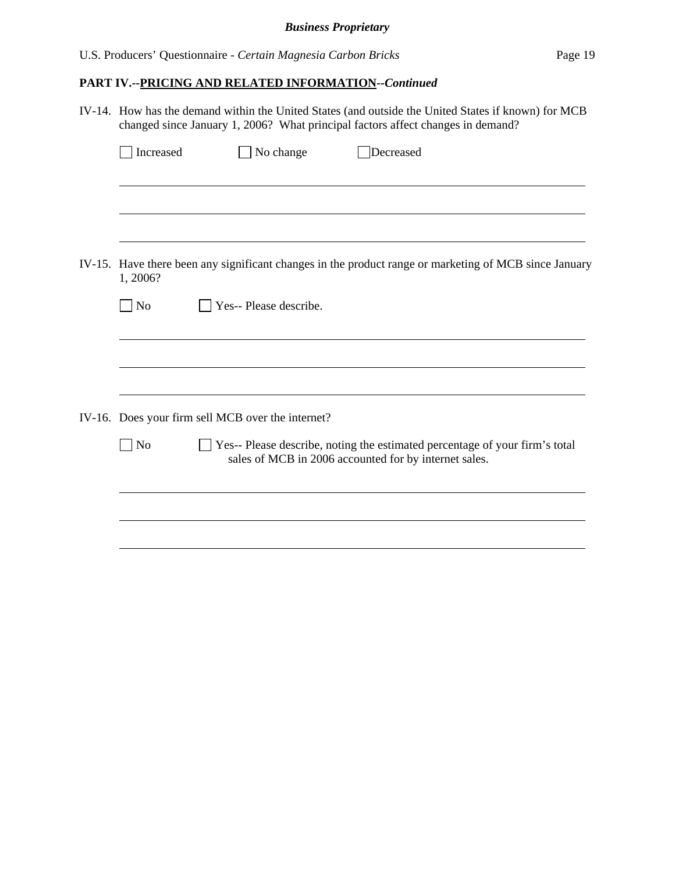| IV-14. How has the demand within the United States (and outside the United States if known) for MCB<br>changed since January 1, 2006? What principal factors affect changes in demand? |                                                   |                                                                                                                                      |  |  |  |
|----------------------------------------------------------------------------------------------------------------------------------------------------------------------------------------|---------------------------------------------------|--------------------------------------------------------------------------------------------------------------------------------------|--|--|--|
| Increased                                                                                                                                                                              | No change                                         | Decreased                                                                                                                            |  |  |  |
|                                                                                                                                                                                        |                                                   |                                                                                                                                      |  |  |  |
|                                                                                                                                                                                        |                                                   |                                                                                                                                      |  |  |  |
| 1, 2006?                                                                                                                                                                               |                                                   | IV-15. Have there been any significant changes in the product range or marketing of MCB since January                                |  |  |  |
| $\n  o$                                                                                                                                                                                | Yes-- Please describe.                            |                                                                                                                                      |  |  |  |
|                                                                                                                                                                                        |                                                   |                                                                                                                                      |  |  |  |
|                                                                                                                                                                                        |                                                   |                                                                                                                                      |  |  |  |
|                                                                                                                                                                                        | IV-16. Does your firm sell MCB over the internet? |                                                                                                                                      |  |  |  |
| $\exists$ No                                                                                                                                                                           |                                                   | Yes-- Please describe, noting the estimated percentage of your firm's total<br>sales of MCB in 2006 accounted for by internet sales. |  |  |  |
|                                                                                                                                                                                        |                                                   |                                                                                                                                      |  |  |  |
|                                                                                                                                                                                        |                                                   |                                                                                                                                      |  |  |  |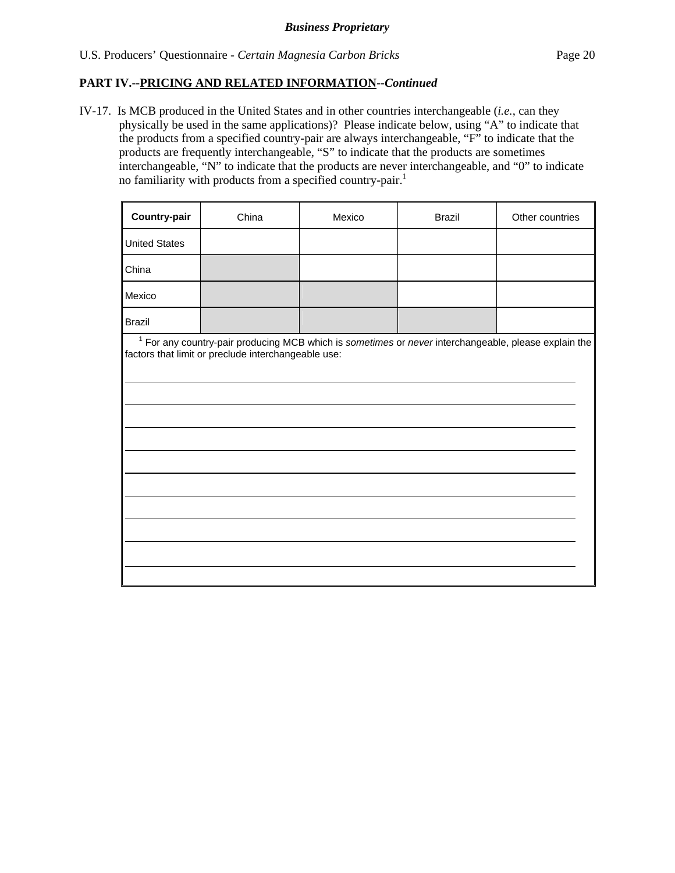U.S. Producers' Questionnaire - *Certain Magnesia Carbon Bricks* Page 20

### **PART IV.--PRICING AND RELATED INFORMATION***--Continued*

IV-17. Is MCB produced in the United States and in other countries interchangeable (*i.e.*, can they physically be used in the same applications)? Please indicate below, using "A" to indicate that the products from a specified country-pair are always interchangeable, "F" to indicate that the products are frequently interchangeable, "S" to indicate that the products are sometimes interchangeable, "N" to indicate that the products are never interchangeable, and "0" to indicate no familiarity with products from a specified country-pair.<sup>1</sup>

| Country-pair         | China                                               | Mexico                                                                                                          | <b>Brazil</b> | Other countries |
|----------------------|-----------------------------------------------------|-----------------------------------------------------------------------------------------------------------------|---------------|-----------------|
| <b>United States</b> |                                                     |                                                                                                                 |               |                 |
| China                |                                                     |                                                                                                                 |               |                 |
| Mexico               |                                                     |                                                                                                                 |               |                 |
| <b>Brazil</b>        |                                                     |                                                                                                                 |               |                 |
|                      | factors that limit or preclude interchangeable use: | <sup>1</sup> For any country-pair producing MCB which is sometimes or never interchangeable, please explain the |               |                 |
|                      |                                                     |                                                                                                                 |               |                 |
|                      |                                                     |                                                                                                                 |               |                 |
|                      |                                                     |                                                                                                                 |               |                 |
|                      |                                                     |                                                                                                                 |               |                 |
|                      |                                                     |                                                                                                                 |               |                 |
|                      |                                                     |                                                                                                                 |               |                 |
|                      |                                                     |                                                                                                                 |               |                 |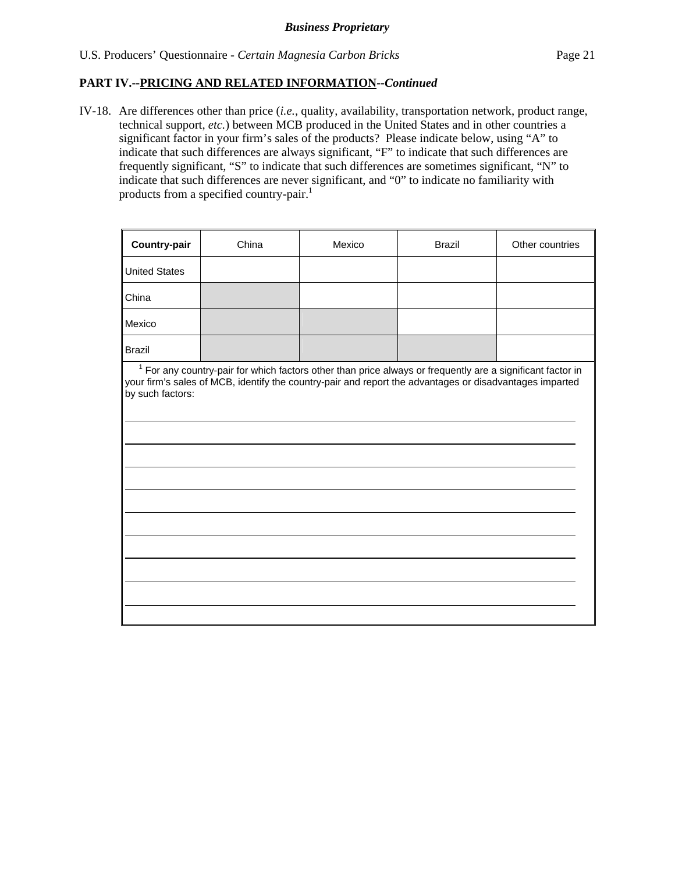IV-18. Are differences other than price (*i.e.*, quality, availability, transportation network, product range, technical support, *etc.*) between MCB produced in the United States and in other countries a significant factor in your firm's sales of the products? Please indicate below, using "A" to indicate that such differences are always significant, "F" to indicate that such differences are frequently significant, "S" to indicate that such differences are sometimes significant, "N" to indicate that such differences are never significant, and "0" to indicate no familiarity with products from a specified country-pair.<sup>1</sup>

| <b>Country-pair</b>  | China                                                                                                                                                                                                                   | Mexico | <b>Brazil</b> | Other countries |
|----------------------|-------------------------------------------------------------------------------------------------------------------------------------------------------------------------------------------------------------------------|--------|---------------|-----------------|
| <b>United States</b> |                                                                                                                                                                                                                         |        |               |                 |
| China                |                                                                                                                                                                                                                         |        |               |                 |
| Mexico               |                                                                                                                                                                                                                         |        |               |                 |
| <b>Brazil</b>        |                                                                                                                                                                                                                         |        |               |                 |
| by such factors:     | $1$ For any country-pair for which factors other than price always or frequently are a significant factor in<br>your firm's sales of MCB, identify the country-pair and report the advantages or disadvantages imparted |        |               |                 |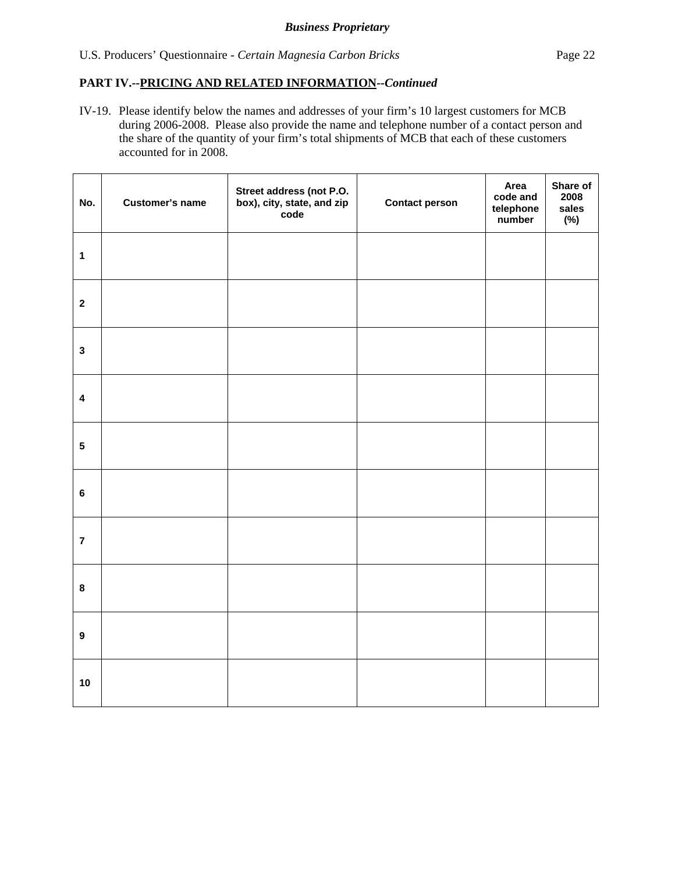IV-19. Please identify below the names and addresses of your firm's 10 largest customers for MCB during 2006-2008. Please also provide the name and telephone number of a contact person and the share of the quantity of your firm's total shipments of MCB that each of these customers accounted for in 2008.

| No.                     | <b>Customer's name</b> | Street address (not P.O.<br>box), city, state, and zip<br>code | <b>Contact person</b> | Area<br>code and<br>telephone<br>number | Share of<br>2008<br>sales<br>$(\%)$ |
|-------------------------|------------------------|----------------------------------------------------------------|-----------------------|-----------------------------------------|-------------------------------------|
| $\mathbf{1}$            |                        |                                                                |                       |                                         |                                     |
| $\mathbf{2}$            |                        |                                                                |                       |                                         |                                     |
| $\mathbf 3$             |                        |                                                                |                       |                                         |                                     |
| $\overline{\mathbf{4}}$ |                        |                                                                |                       |                                         |                                     |
| $5\phantom{.0}$         |                        |                                                                |                       |                                         |                                     |
| $\bf 6$                 |                        |                                                                |                       |                                         |                                     |
| $\overline{7}$          |                        |                                                                |                       |                                         |                                     |
| $\bf8$                  |                        |                                                                |                       |                                         |                                     |
| $\boldsymbol{9}$        |                        |                                                                |                       |                                         |                                     |
| 10                      |                        |                                                                |                       |                                         |                                     |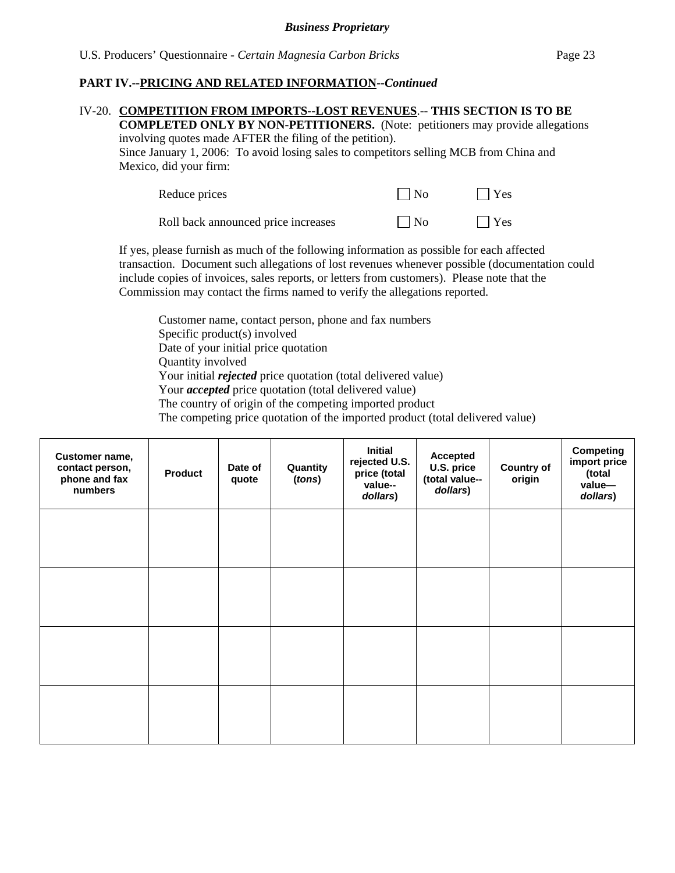#### IV-20. **COMPETITION FROM IMPORTS--LOST REVENUES**.-- **THIS SECTION IS TO BE**

**COMPLETED ONLY BY NON-PETITIONERS.** (Note: petitioners may provide allegations involving quotes made AFTER the filing of the petition). Since January 1, 2006: To avoid losing sales to competitors selling MCB from China and

Mexico, did your firm:

| Reduce prices                       | $\Box$ No | $ $   Yes  |
|-------------------------------------|-----------|------------|
| Roll back announced price increases | $\Box$ No | $\Box$ Yes |

If yes, please furnish as much of the following information as possible for each affected transaction. Document such allegations of lost revenues whenever possible (documentation could include copies of invoices, sales reports, or letters from customers). Please note that the Commission may contact the firms named to verify the allegations reported.

Customer name, contact person, phone and fax numbers Specific product(s) involved Date of your initial price quotation Quantity involved Your initial *rejected* price quotation (total delivered value) Your *accepted* price quotation (total delivered value) The country of origin of the competing imported product The competing price quotation of the imported product (total delivered value)

| Customer name,<br>contact person,<br>phone and fax<br>numbers | <b>Product</b> | Date of<br>quote | Quantity<br>(tons) | <b>Initial</b><br>rejected U.S.<br>price (total<br>value--<br>dollars) | <b>Accepted</b><br>U.S. price<br>(total value--<br>dollars) | <b>Country of</b><br>origin | <b>Competing</b><br>import price<br>(total<br>value-<br>dollars) |
|---------------------------------------------------------------|----------------|------------------|--------------------|------------------------------------------------------------------------|-------------------------------------------------------------|-----------------------------|------------------------------------------------------------------|
|                                                               |                |                  |                    |                                                                        |                                                             |                             |                                                                  |
|                                                               |                |                  |                    |                                                                        |                                                             |                             |                                                                  |
|                                                               |                |                  |                    |                                                                        |                                                             |                             |                                                                  |
|                                                               |                |                  |                    |                                                                        |                                                             |                             |                                                                  |